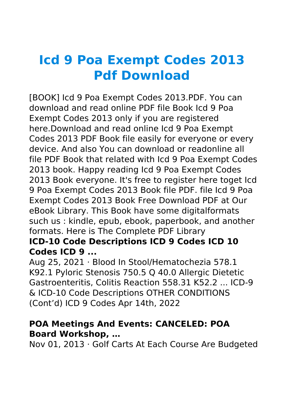# **Icd 9 Poa Exempt Codes 2013 Pdf Download**

[BOOK] Icd 9 Poa Exempt Codes 2013.PDF. You can download and read online PDF file Book Icd 9 Poa Exempt Codes 2013 only if you are registered here.Download and read online Icd 9 Poa Exempt Codes 2013 PDF Book file easily for everyone or every device. And also You can download or readonline all file PDF Book that related with Icd 9 Poa Exempt Codes 2013 book. Happy reading Icd 9 Poa Exempt Codes 2013 Book everyone. It's free to register here toget Icd 9 Poa Exempt Codes 2013 Book file PDF. file Icd 9 Poa Exempt Codes 2013 Book Free Download PDF at Our eBook Library. This Book have some digitalformats such us : kindle, epub, ebook, paperbook, and another formats. Here is The Complete PDF Library

## **ICD-10 Code Descriptions ICD 9 Codes ICD 10 Codes ICD 9 ...**

Aug 25, 2021 · Blood In Stool/Hematochezia 578.1 K92.1 Pyloric Stenosis 750.5 Q 40.0 Allergic Dietetic Gastroenteritis, Colitis Reaction 558.31 K52.2 ... ICD-9 & ICD-10 Code Descriptions OTHER CONDITIONS (Cont'd) ICD 9 Codes Apr 14th, 2022

#### **POA Meetings And Events: CANCELED: POA Board Workshop, …**

Nov 01, 2013 · Golf Carts At Each Course Are Budgeted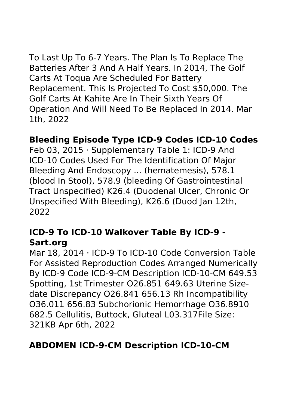To Last Up To 6-7 Years. The Plan Is To Replace The Batteries After 3 And A Half Years. In 2014, The Golf Carts At Toqua Are Scheduled For Battery Replacement. This Is Projected To Cost \$50,000. The Golf Carts At Kahite Are In Their Sixth Years Of Operation And Will Need To Be Replaced In 2014. Mar 1th, 2022

### **Bleeding Episode Type ICD-9 Codes ICD-10 Codes**

Feb 03, 2015 · Supplementary Table 1: ICD-9 And ICD-10 Codes Used For The Identification Of Major Bleeding And Endoscopy ... (hematemesis), 578.1 (blood In Stool), 578.9 (bleeding Of Gastrointestinal Tract Unspecified) K26.4 (Duodenal Ulcer, Chronic Or Unspecified With Bleeding), K26.6 (Duod Jan 12th, 2022

## **ICD-9 To ICD-10 Walkover Table By ICD-9 - Sart.org**

Mar 18, 2014 · ICD-9 To ICD-10 Code Conversion Table For Assisted Reproduction Codes Arranged Numerically By ICD-9 Code ICD-9-CM Description ICD-10-CM 649.53 Spotting, 1st Trimester O26.851 649.63 Uterine Sizedate Discrepancy O26.841 656.13 Rh Incompatibility O36.011 656.83 Subchorionic Hemorrhage O36.8910 682.5 Cellulitis, Buttock, Gluteal L03.317File Size: 321KB Apr 6th, 2022

### **ABDOMEN ICD-9-CM Description ICD-10-CM**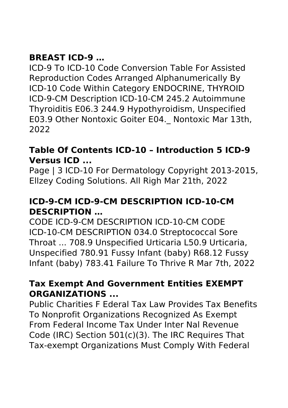# **BREAST ICD-9 …**

ICD-9 To ICD-10 Code Conversion Table For Assisted Reproduction Codes Arranged Alphanumerically By ICD-10 Code Within Category ENDOCRINE, THYROID ICD-9-CM Description ICD-10-CM 245.2 Autoimmune Thyroiditis E06.3 244.9 Hypothyroidism, Unspecified E03.9 Other Nontoxic Goiter E04.\_ Nontoxic Mar 13th, 2022

### **Table Of Contents ICD-10 – Introduction 5 ICD-9 Versus ICD ...**

Page | 3 ICD-10 For Dermatology Copyright 2013-2015, Ellzey Coding Solutions. All Righ Mar 21th, 2022

## **ICD-9-CM ICD-9-CM DESCRIPTION ICD-10-CM DESCRIPTION …**

CODE ICD-9-CM DESCRIPTION ICD-10-CM CODE ICD-10-CM DESCRIPTION 034.0 Streptococcal Sore Throat ... 708.9 Unspecified Urticaria L50.9 Urticaria, Unspecified 780.91 Fussy Infant (baby) R68.12 Fussy Infant (baby) 783.41 Failure To Thrive R Mar 7th, 2022

### **Tax Exempt And Government Entities EXEMPT ORGANIZATIONS ...**

Public Charities F Ederal Tax Law Provides Tax Benefits To Nonprofit Organizations Recognized As Exempt From Federal Income Tax Under Inter Nal Revenue Code (IRC) Section 501(c)(3). The IRC Requires That Tax-exempt Organizations Must Comply With Federal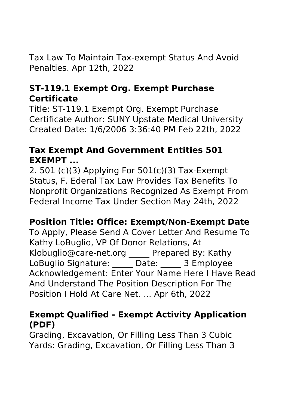Tax Law To Maintain Tax-exempt Status And Avoid Penalties. Apr 12th, 2022

### **ST-119.1 Exempt Org. Exempt Purchase Certificate**

Title: ST-119.1 Exempt Org. Exempt Purchase Certificate Author: SUNY Upstate Medical University Created Date: 1/6/2006 3:36:40 PM Feb 22th, 2022

### **Tax Exempt And Government Entities 501 EXEMPT ...**

2. 501 (c)(3) Applying For 501(c)(3) Tax-Exempt Status, F. Ederal Tax Law Provides Tax Benefits To Nonprofit Organizations Recognized As Exempt From Federal Income Tax Under Section May 24th, 2022

### **Position Title: Office: Exempt/Non-Exempt Date**

To Apply, Please Send A Cover Letter And Resume To Kathy LoBuglio, VP Of Donor Relations, At Klobuglio@care-net.org \_\_\_\_\_ Prepared By: Kathy LoBuglio Signature: <br>
Date: 3 Employee Acknowledgement: Enter Your Name Here I Have Read And Understand The Position Description For The Position I Hold At Care Net. ... Apr 6th, 2022

### **Exempt Qualified - Exempt Activity Application (PDF)**

Grading, Excavation, Or Filling Less Than 3 Cubic Yards: Grading, Excavation, Or Filling Less Than 3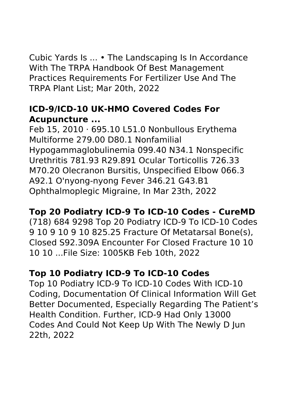Cubic Yards Is ... • The Landscaping Is In Accordance With The TRPA Handbook Of Best Management Practices Requirements For Fertilizer Use And The TRPA Plant List; Mar 20th, 2022

## **ICD-9/ICD-10 UK-HMO Covered Codes For Acupuncture ...**

Feb 15, 2010 · 695.10 L51.0 Nonbullous Erythema Multiforme 279.00 D80.1 Nonfamilial Hypogammaglobulinemia 099.40 N34.1 Nonspecific Urethritis 781.93 R29.891 Ocular Torticollis 726.33 M70.20 Olecranon Bursitis, Unspecified Elbow 066.3 A92.1 O'nyong-nyong Fever 346.21 G43.B1 Ophthalmoplegic Migraine, In Mar 23th, 2022

## **Top 20 Podiatry ICD-9 To ICD-10 Codes - CureMD**

(718) 684 9298 Top 20 Podiatry ICD-9 To ICD-10 Codes 9 10 9 10 9 10 825.25 Fracture Of Metatarsal Bone(s), Closed S92.309A Encounter For Closed Fracture 10 10 10 10 ...File Size: 1005KB Feb 10th, 2022

#### **Top 10 Podiatry ICD-9 To ICD-10 Codes**

Top 10 Podiatry ICD-9 To ICD-10 Codes With ICD-10 Coding, Documentation Of Clinical Information Will Get Better Documented, Especially Regarding The Patient's Health Condition. Further, ICD-9 Had Only 13000 Codes And Could Not Keep Up With The Newly D Jun 22th, 2022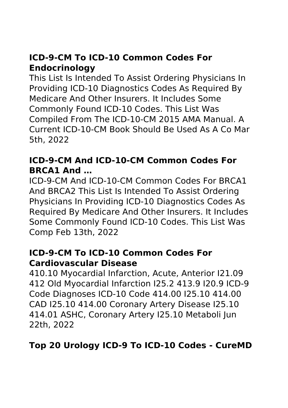# **ICD-9-CM To ICD-10 Common Codes For Endocrinology**

This List Is Intended To Assist Ordering Physicians In Providing ICD-10 Diagnostics Codes As Required By Medicare And Other Insurers. It Includes Some Commonly Found ICD-10 Codes. This List Was Compiled From The ICD-10-CM 2015 AMA Manual. A Current ICD-10-CM Book Should Be Used As A Co Mar 5th, 2022

## **ICD-9-CM And ICD-10-CM Common Codes For BRCA1 And …**

ICD-9-CM And ICD-10-CM Common Codes For BRCA1 And BRCA2 This List Is Intended To Assist Ordering Physicians In Providing ICD-10 Diagnostics Codes As Required By Medicare And Other Insurers. It Includes Some Commonly Found ICD-10 Codes. This List Was Comp Feb 13th, 2022

#### **ICD-9-CM To ICD-10 Common Codes For Cardiovascular Disease**

410.10 Myocardial Infarction, Acute, Anterior I21.09 412 Old Myocardial Infarction I25.2 413.9 I20.9 ICD-9 Code Diagnoses ICD-10 Code 414.00 I25.10 414.00 CAD I25.10 414.00 Coronary Artery Disease I25.10 414.01 ASHC, Coronary Artery I25.10 Metaboli Jun 22th, 2022

## **Top 20 Urology ICD-9 To ICD-10 Codes - CureMD**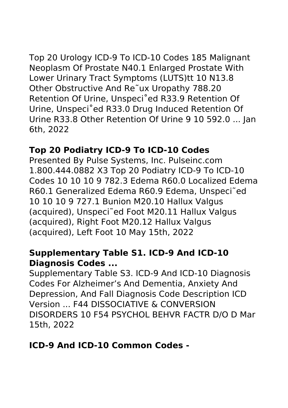Top 20 Urology ICD-9 To ICD-10 Codes 185 Malignant Neoplasm Of Prostate N40.1 Enlarged Prostate With Lower Urinary Tract Symptoms (LUTS)tt 10 N13.8 Other Obstructive And Re˜ux Uropathy 788.20 Retention Of Urine, Unspeci˚ed R33.9 Retention Of Urine, Unspeci˚ed R33.0 Drug Induced Retention Of Urine R33.8 Other Retention Of Urine 9 10 592.0 ... Jan 6th, 2022

## **Top 20 Podiatry ICD-9 To ICD-10 Codes**

Presented By Pulse Systems, Inc. Pulseinc.com 1.800.444.0882 X3 Top 20 Podiatry ICD-9 To ICD-10 Codes 10 10 10 9 782.3 Edema R60.0 Localized Edema R60.1 Generalized Edema R60.9 Edema, Unspeci˜ed 10 10 10 9 727.1 Bunion M20.10 Hallux Valgus (acquired), Unspeci˜ed Foot M20.11 Hallux Valgus (acquired), Right Foot M20.12 Hallux Valgus (acquired), Left Foot 10 May 15th, 2022

### **Supplementary Table S1. ICD-9 And ICD-10 Diagnosis Codes ...**

Supplementary Table S3. ICD-9 And ICD-10 Diagnosis Codes For Alzheimer's And Dementia, Anxiety And Depression, And Fall Diagnosis Code Description ICD Version ... F44 DISSOCIATIVE & CONVERSION DISORDERS 10 F54 PSYCHOL BEHVR FACTR D/O D Mar 15th, 2022

**ICD-9 And ICD-10 Common Codes -**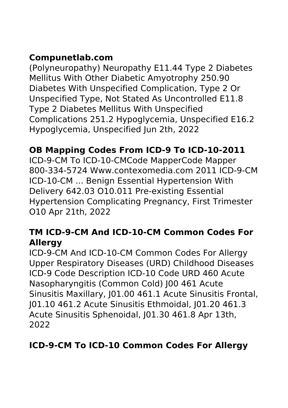# **Compunetlab.com**

(Polyneuropathy) Neuropathy E11.44 Type 2 Diabetes Mellitus With Other Diabetic Amyotrophy 250.90 Diabetes With Unspecified Complication, Type 2 Or Unspecified Type, Not Stated As Uncontrolled E11.8 Type 2 Diabetes Mellitus With Unspecified Complications 251.2 Hypoglycemia, Unspecified E16.2 Hypoglycemia, Unspecified Jun 2th, 2022

# **OB Mapping Codes From ICD-9 To ICD-10-2011**

ICD-9-CM To ICD-10-CMCode MapperCode Mapper 800-334-5724 Www.contexomedia.com 2011 ICD-9-CM ICD-10-CM ... Benign Essential Hypertension With Delivery 642.03 O10.011 Pre-existing Essential Hypertension Complicating Pregnancy, First Trimester O10 Apr 21th, 2022

### **TM ICD-9-CM And ICD-10-CM Common Codes For Allergy**

ICD-9-CM And ICD-10-CM Common Codes For Allergy Upper Respiratory Diseases (URD) Childhood Diseases ICD-9 Code Description ICD-10 Code URD 460 Acute Nasopharyngitis (Common Cold) J00 461 Acute Sinusitis Maxillary, J01.00 461.1 Acute Sinusitis Frontal, J01.10 461.2 Acute Sinusitis Ethmoidal, J01.20 461.3 Acute Sinusitis Sphenoidal, J01.30 461.8 Apr 13th, 2022

### **ICD-9-CM To ICD-10 Common Codes For Allergy**